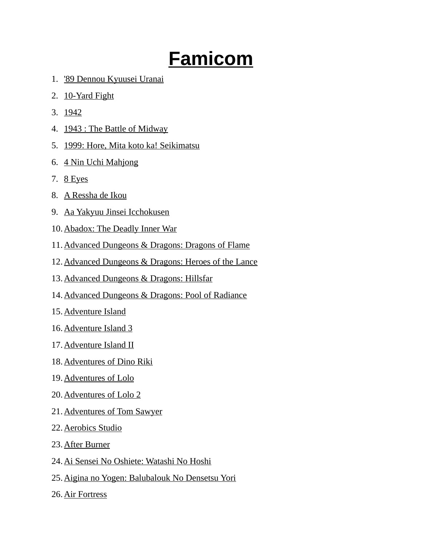## **Famicom**

- 1. '89 Dennou Kyuusei Uranai
- 2. 10-Yard Fight
- 3. 1942
- 4. 1943 : The Battle of Midway
- 5. 1999: Hore, Mita koto ka! Seikimatsu
- 6. 4 Nin Uchi Mahjong
- 7. 8 Eyes
- 8. A Ressha de Ikou
- 9. Aa Yakyuu Jinsei Icchokusen
- 10. Abadox: The Deadly Inner War
- 11.Advanced Dungeons & Dragons: Dragons of Flame
- 12.Advanced Dungeons & Dragons: Heroes of the Lance
- 13.Advanced Dungeons & Dragons: Hillsfar
- 14.Advanced Dungeons & Dragons: Pool of Radiance
- 15. Adventure Island
- 16. Adventure Island 3
- 17. Adventure Island II
- 18. Adventures of Dino Riki
- 19. Adventures of Lolo
- 20. Adventures of Lolo 2
- 21. Adventures of Tom Sawyer
- 22. Aerobics Studio
- 23. After Burner
- 24.Ai Sensei No Oshiete: Watashi No Hoshi
- 25.Aigina no Yogen: Balubalouk No Densetsu Yori
- 26. Air Fortress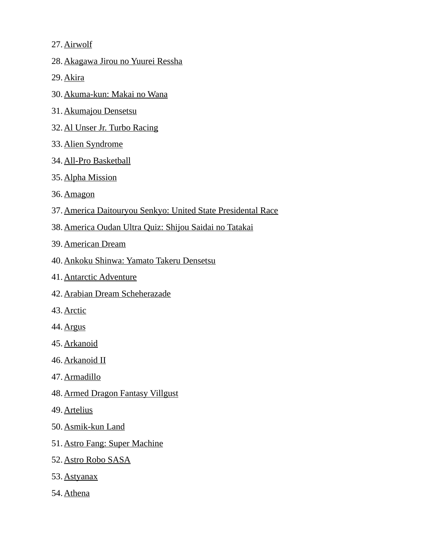27. Airwolf

- 28. Akagawa Jirou no Yuurei Ressha
- 29. Akira
- 30. Akuma-kun: Makai no Wana
- 31. Akumajou Densetsu
- 32. Al Unser Jr. Turbo Racing
- 33. Alien Syndrome
- 34. All-Pro Basketball
- 35. Alpha Mission
- 36. Amagon
- 37.America Daitouryou Senkyo: United State Presidental Race
- 38.America Oudan Ultra Quiz: Shijou Saidai no Tatakai
- 39. American Dream
- 40.Ankoku Shinwa: Yamato Takeru Densetsu
- 41. Antarctic Adventure
- 42. Arabian Dream Scheherazade
- 43. Arctic
- 44. Argus
- 45. Arkanoid
- 46. Arkanoid II
- 47. Armadillo
- 48. Armed Dragon Fantasy Villgust
- 49. Artelius
- 50. Asmik-kun Land
- 51. Astro Fang: Super Machine
- 52. Astro Robo SASA
- 53. Astyanax
- 54. Athena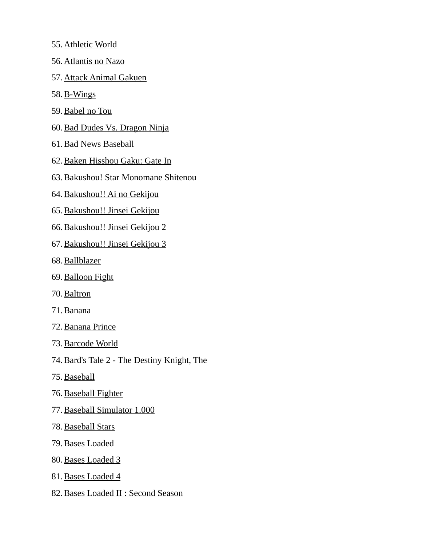- 55. Athletic World
- 56. Atlantis no Nazo
- 57. Attack Animal Gakuen
- 58. B-Wings
- 59. Babel no Tou
- 60. Bad Dudes Vs. Dragon Ninja
- 61. Bad News Baseball
- 62. Baken Hisshou Gaku: Gate In
- 63. Bakushou! Star Monomane Shitenou
- 64. Bakushou!! Ai no Gekijou
- 65. Bakushou!! Jinsei Gekijou
- 66. Bakushou!! Jinsei Gekijou 2
- 67. Bakushou!! Jinsei Gekijou 3
- 68. Ballblazer
- 69. Balloon Fight
- 70. Baltron
- 71. Banana
- 72. Banana Prince
- 73. Barcode World
- 74. Bard's Tale 2 The Destiny Knight, The
- 75. Baseball
- 76. Baseball Fighter
- 77. Baseball Simulator 1.000
- 78. Baseball Stars
- 79. Bases Loaded
- 80. Bases Loaded 3
- 81. Bases Loaded 4
- 82. Bases Loaded II : Second Season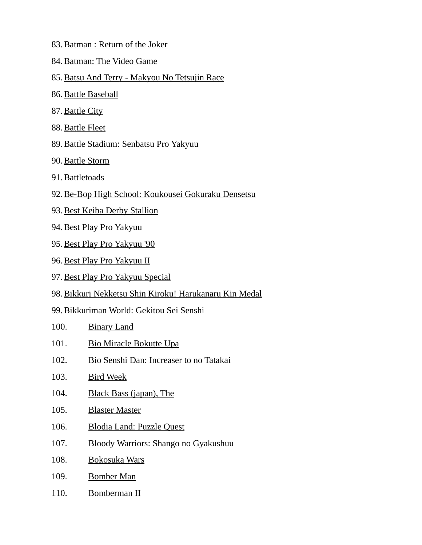- 83. Batman : Return of the Joker
- 84. Batman: The Video Game
- 85.Batsu And Terry Makyou No Tetsujin Race
- 86. Battle Baseball
- 87. Battle City
- 88. Battle Fleet
- 89. Battle Stadium: Senbatsu Pro Yakyuu
- 90. Battle Storm
- 91. Battletoads
- 92.Be-Bop High School: Koukousei Gokuraku Densetsu
- 93. Best Keiba Derby Stallion
- 94. Best Play Pro Yakyuu
- 95. Best Play Pro Yakyuu '90
- 96. Best Play Pro Yakyuu II
- 97. Best Play Pro Yakyuu Special
- 98.Bikkuri Nekketsu Shin Kiroku! Harukanaru Kin Medal
- 99.Bikkuriman World: Gekitou Sei Senshi
- 100. Binary Land
- 101. Bio Miracle Bokutte Upa
- 102. Bio Senshi Dan: Increaser to no Tatakai
- 103. Bird Week
- 104. Black Bass (japan), The
- 105. Blaster Master
- 106. Blodia Land: Puzzle Quest
- 107. Bloody Warriors: Shango no Gyakushuu
- 108. Bokosuka Wars
- 109. Bomber Man
- 110. Bomberman II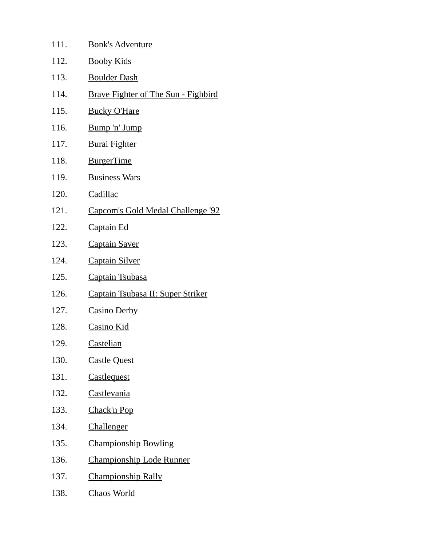| 111. | <b>Bonk's Adventure</b>                    |
|------|--------------------------------------------|
| 112. | <b>Booby Kids</b>                          |
| 113. | <b>Boulder Dash</b>                        |
| 114. | <b>Brave Fighter of The Sun - Fighbird</b> |
| 115. | <b>Bucky O'Hare</b>                        |
| 116. | Bump 'n' Jump                              |
| 117. | <b>Burai Fighter</b>                       |
| 118. | <b>BurgerTime</b>                          |
| 119. | <b>Business Wars</b>                       |
| 120. | Cadillac                                   |
| 121. | Capcom's Gold Medal Challenge '92          |
| 122. | <b>Captain Ed</b>                          |
| 123. | <b>Captain Saver</b>                       |
| 124. | <b>Captain Silver</b>                      |
| 125. | <b>Captain Tsubasa</b>                     |
| 126. | Captain Tsubasa II: Super Striker          |
| 127. | <b>Casino Derby</b>                        |
| 128. | <b>Casino Kid</b>                          |
| 129. | <b>Castelian</b>                           |
| 130. | <b>Castle Quest</b>                        |
| 131. | Castlequest                                |
| 132. | Castlevania                                |
| 133. | Chack'n Pop                                |
| 134. | Challenger                                 |
| 135. | <b>Championship Bowling</b>                |
| 136. | <b>Championship Lode Runner</b>            |
| 137. | <b>Championship Rally</b>                  |
| 138. | <b>Chaos World</b>                         |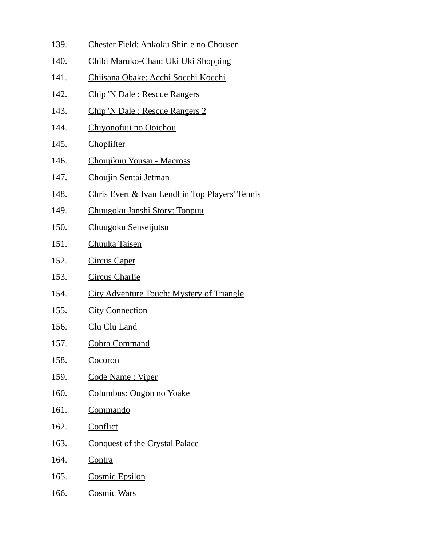- 139. Chester Field: Ankoku Shin e no Chousen
- 140. Chibi Maruko-Chan: Uki Uki Shopping
- 141. Chiisana Obake: Acchi Socchi Kocchi
- 142. Chip 'N Dale : Rescue Rangers
- 143. Chip 'N Dale : Rescue Rangers 2
- 144. Chiyonofuji no Ooichou
- 145. Choplifter
- 146. Choujikuu Yousai Macross
- 147. Choujin Sentai Jetman
- 148. Chris Evert & Ivan Lendl in Top Players' Tennis
- 149. Chuugoku Janshi Story: Tonpuu
- 150. Chuugoku Senseijutsu
- 151. Chuuka Taisen
- 152. Circus Caper
- 153. Circus Charlie
- 154. City Adventure Touch: Mystery of Triangle
- 155. City Connection
- 156. Clu Clu Land
- 157. Cobra Command
- 158. Cocoron
- 159. Code Name: Viper
- 160. Columbus: Ougon no Yoake
- 161. Commando
- 162. Conflict
- 163. Conquest of the Crystal Palace
- 164. Contra
- 165. Cosmic Epsilon
- 166. Cosmic Wars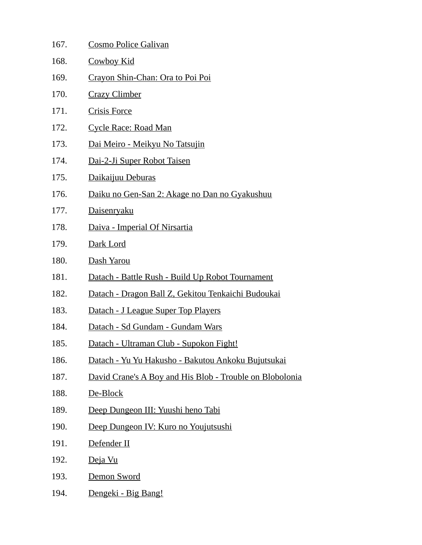| 167. | <b>Cosmo Police Galivan</b>                              |
|------|----------------------------------------------------------|
| 168. | <b>Cowboy Kid</b>                                        |
| 169. | Crayon Shin-Chan: Ora to Poi Poi                         |
| 170. | <b>Crazy Climber</b>                                     |
| 171. | <b>Crisis Force</b>                                      |
| 172. | <b>Cycle Race: Road Man</b>                              |
| 173. | Dai Meiro - Meikyu No Tatsujin                           |
| 174. | Dai-2-Ji Super Robot Taisen                              |
| 175. | Daikaijuu Deburas                                        |
| 176. | Daiku no Gen-San 2: Akage no Dan no Gyakushuu            |
| 177. | <b>Daisenryaku</b>                                       |
| 178. | Daiva - Imperial Of Nirsartia                            |
| 179. | Dark Lord                                                |
| 180. | <u>Dash Yarou</u>                                        |
| 181. | Datach - Battle Rush - Build Up Robot Tournament         |
| 182. | Datach - Dragon Ball Z, Gekitou Tenkaichi Budoukai       |
| 183. | Datach - J League Super Top Players                      |
| 184. | Datach - Sd Gundam - Gundam Wars                         |
| 185. | Datach - Ultraman Club - Supokon Fight!                  |
| 186. | Datach - Yu Yu Hakusho - Bakutou Ankoku Bujutsukai       |
| 187. | David Crane's A Boy and His Blob - Trouble on Blobolonia |
| 188. | De-Block                                                 |
| 189. | Deep Dungeon III: Yuushi heno Tabi                       |
| 190. | Deep Dungeon IV: Kuro no Youjutsushi                     |
| 191. | Defender II                                              |
| 192. | Deja Vu                                                  |
| 193. | Demon Sword                                              |
| 194. | Dengeki - Big Bang!                                      |
|      |                                                          |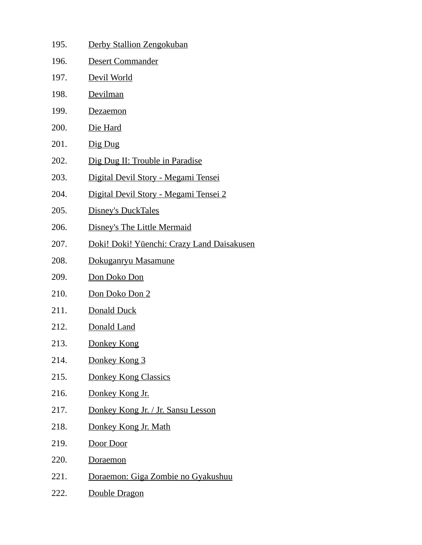195. Derby Stallion Zengokuban 196. Desert Commander 197. Devil World 198. Devilman 199. Dezaemon 200. Die Hard 201.  $\frac{\text{Dig } \text{Dug}}{\text{Dug}}$ 202. Dig Dug II: Trouble in Paradise 203. Digital Devil Story - Megami Tensei 204. Digital Devil Story - Megami Tensei 2 205. Disney's DuckTales 206. Disney's The Little Mermaid 207. Doki! Doki! Yūenchi: Crazy Land Daisakusen 208. Dokuganryu Masamune 209. Don Doko Don 210. Don Doko Don 2 211. Donald Duck 212. Donald Land 213. Donkey Kong 214. Donkey Kong 3 215. Donkey Kong Classics 216. Donkey Kong Jr. 217. Donkey Kong Jr. / Jr. Sansu Lesson 218. Donkey Kong Jr. Math 219. Door Door 220. Doraemon 221. Doraemon: Giga Zombie no Gyakushuu 222. Double Dragon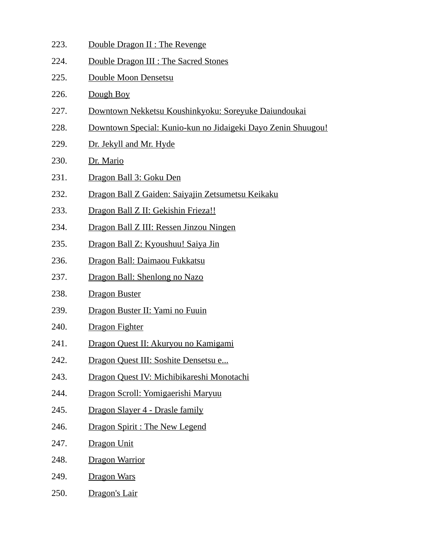- 223. Double Dragon II : The Revenge
- 224. Double Dragon III : The Sacred Stones
- 225. Double Moon Densetsu
- 226. Dough Boy
- 227. Downtown Nekketsu Koushinkyoku: Soreyuke Daiundoukai
- 228. Downtown Special: Kunio-kun no Jidaigeki Dayo Zenin Shuugou!
- 229. Dr. Jekyll and Mr. Hyde
- 230. Dr. Mario
- 231. Dragon Ball 3: Goku Den
- 232. Dragon Ball Z Gaiden: Saiyajin Zetsumetsu Keikaku
- 233. Dragon Ball Z II: Gekishin Frieza!!
- 234. Dragon Ball Z III: Ressen Jinzou Ningen
- 235. Dragon Ball Z: Kyoushuu! Saiya Jin
- 236. Dragon Ball: Daimaou Fukkatsu
- 237. Dragon Ball: Shenlong no Nazo
- 238. Dragon Buster
- 239. Dragon Buster II: Yami no Fuuin
- 240. Dragon Fighter
- 241. Dragon Quest II: Akuryou no Kamigami
- 242. Dragon Quest III: Soshite Densetsu e...
- 243. Dragon Quest IV: Michibikareshi Monotachi
- 244. Dragon Scroll: Yomigaerishi Maryuu
- 245. Dragon Slayer 4 Drasle family
- 246. Dragon Spirit : The New Legend
- 247. Dragon Unit
- 248. Dragon Warrior
- 249. Dragon Wars
- 250. Dragon's Lair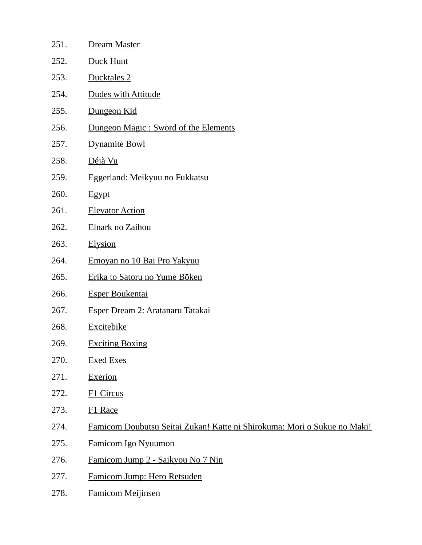| 251. | <b>Dream Master</b>                                                      |
|------|--------------------------------------------------------------------------|
| 252. | <b>Duck Hunt</b>                                                         |
| 253. | Ducktales 2                                                              |
| 254. | Dudes with Attitude                                                      |
| 255. | Dungeon Kid                                                              |
| 256. | Dungeon Magic: Sword of the Elements                                     |
| 257. | <b>Dynamite Bowl</b>                                                     |
| 258. | Déjà Vu                                                                  |
| 259. | Eggerland: Meikyuu no Fukkatsu                                           |
| 260. | Egypt                                                                    |
| 261. | <b>Elevator Action</b>                                                   |
| 262. | Elnark no Zaihou                                                         |
| 263. | Elysion                                                                  |
| 264. | Emoyan no 10 Bai Pro Yakyuu                                              |
| 265. | Erika to Satoru no Yume Bōken                                            |
| 266. | <b>Esper Boukentai</b>                                                   |
| 267. | Esper Dream 2: Aratanaru Tatakai                                         |
| 268. | <b>Excitebike</b>                                                        |
| 269. | <b>Exciting Boxing</b>                                                   |
| 270. | <b>Exed Exes</b>                                                         |
| 271. | <b>Exerion</b>                                                           |
| 272. | <b>F1 Circus</b>                                                         |
| 273. | <b>F1 Race</b>                                                           |
| 274. | Famicom Doubutsu Seitai Zukan! Katte ni Shirokuma: Mori o Sukue no Maki! |
| 275. | Famicom Igo Nyuumon                                                      |
| 276. | Famicom Jump 2 - Saikyou No 7 Nin                                        |
| 277. | Famicom Jump: Hero Retsuden                                              |
| 278. | <b>Famicom Meijinsen</b>                                                 |
|      |                                                                          |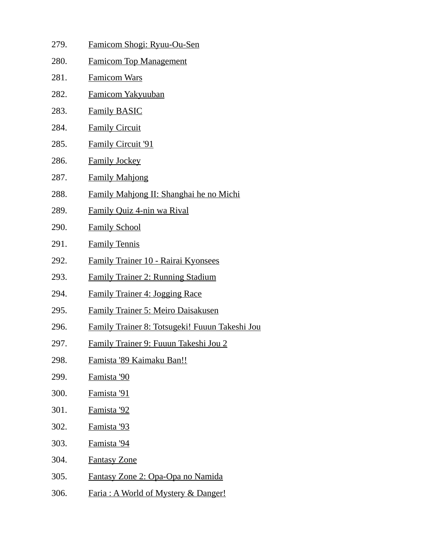279. Famicom Shogi: Ryuu-Ou-Sen 280. Famicom Top Management 281. Famicom Wars 282. Famicom Yakyuuban 283. Family BASIC 284. Family Circuit 285. Family Circuit '91 286. Family Jockey 287. Family Mahjong 288. Family Mahjong II: Shanghai he no Michi 289. Family Quiz 4-nin wa Rival 290. Family School 291. Family Tennis 292. Family Trainer 10 - Rairai Kyonsees 293. Family Trainer 2: Running Stadium 294. Family Trainer 4: Jogging Race 295. Family Trainer 5: Meiro Daisakusen 296. Family Trainer 8: Totsugeki! Fuuun Takeshi Jou 297. Family Trainer 9: Fuuun Takeshi Jou 2 298. Famista '89 Kaimaku Ban!! 299. Famista '90 300. Famista '91 301. Famista '92 302. Famista '93 303. Famista '94 304. Fantasy Zone 305. Fantasy Zone 2: Opa-Opa no Namida 306. Faria : A World of Mystery & Danger!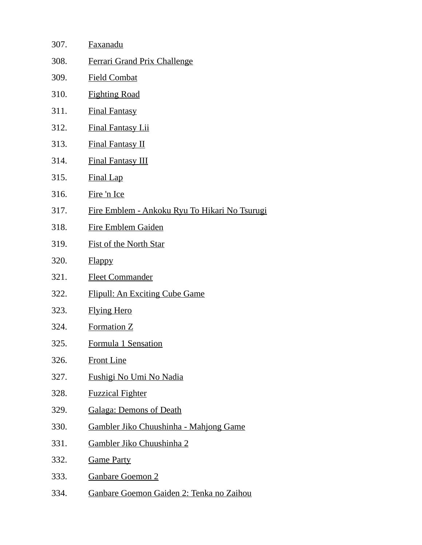| 307. | <b>Faxanadu</b>                                       |
|------|-------------------------------------------------------|
| 308. | <b>Ferrari Grand Prix Challenge</b>                   |
| 309. | <b>Field Combat</b>                                   |
| 310. | <b>Fighting Road</b>                                  |
| 311. | <b>Final Fantasy</b>                                  |
| 312. | <b>Final Fantasy I.ii</b>                             |
| 313. | <b>Final Fantasy II</b>                               |
| 314. | <b>Final Fantasy III</b>                              |
| 315. | <b>Final Lap</b>                                      |
| 316. | Fire 'n Ice                                           |
| 317. | <u> Fire Emblem - Ankoku Ryu To Hikari No Tsurugi</u> |
| 318. | <b>Fire Emblem Gaiden</b>                             |
| 319. | <b>Fist of the North Star</b>                         |
| 320. | <b>Flappy</b>                                         |
| 321. | <b>Fleet Commander</b>                                |
| 322. | <b>Flipull: An Exciting Cube Game</b>                 |
| 323. | <b>Flying Hero</b>                                    |
| 324. | <b>Formation Z</b>                                    |
| 325. | Formula 1 Sensation                                   |
| 326. | <b>Front Line</b>                                     |
| 327. | <u>Fushigi No Umi No Nadia</u>                        |
| 328. | <b>Fuzzical Fighter</b>                               |
| 329. | <b>Galaga: Demons of Death</b>                        |
| 330. | Gambler Jiko Chuushinha - Mahjong Game                |
| 331. | Gambler Jiko Chuushinha 2                             |
| 332. | <b>Game Party</b>                                     |
| 333. | <b>Ganbare Goemon 2</b>                               |
| 334. | Ganbare Goemon Gaiden 2: Tenka no Zaihou              |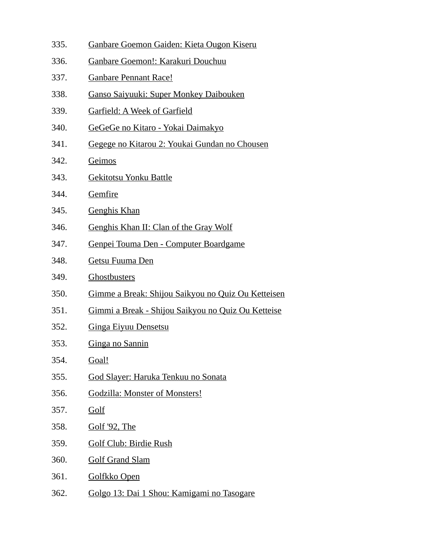- 335. Ganbare Goemon Gaiden: Kieta Ougon Kiseru
- 336. Ganbare Goemon!: Karakuri Douchuu
- 337. Ganbare Pennant Race!
- 338. Ganso Saiyuuki: Super Monkey Daibouken
- 339. Garfield: A Week of Garfield
- 340. GeGeGe no Kitaro Yokai Daimakyo
- 341. Gegege no Kitarou 2: Youkai Gundan no Chousen
- 342. Geimos
- 343. Gekitotsu Yonku Battle
- 344. Gemfire
- 345. Genghis Khan
- 346. Genghis Khan II: Clan of the Gray Wolf
- 347. Genpei Touma Den Computer Boardgame
- 348. Getsu Fuuma Den
- 349. Ghostbusters
- 350. Gimme a Break: Shijou Saikyou no Quiz Ou Ketteisen
- 351. Gimmi a Break Shijou Saikyou no Quiz Ou Ketteise
- 352. Ginga Eiyuu Densetsu
- 353. Ginga no Sannin
- 354. Goal!
- 355. God Slayer: Haruka Tenkuu no Sonata
- 356. Godzilla: Monster of Monsters!
- 357. Golf
- 358. Golf '92, The
- 359. Golf Club: Birdie Rush
- 360. Golf Grand Slam
- 361. Golfkko Open
- 362. Golgo 13: Dai 1 Shou: Kamigami no Tasogare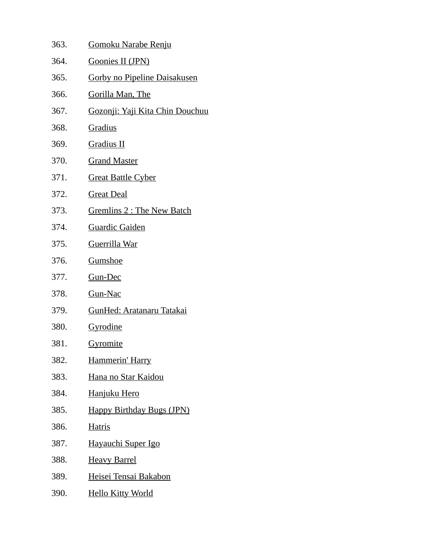| 363. | <b>Gomoku Narabe Renju</b>              |
|------|-----------------------------------------|
| 364. | <b>Goonies II (JPN)</b>                 |
| 365. | <u>Gorby no Pipeline Daisakusen</u>     |
| 366. | <u>Gorilla Man, The</u>                 |
| 367. | <u> Gozonji: Yaji Kita Chin Douchuu</u> |
| 368. | Gradius                                 |
| 369. | <b>Gradius II</b>                       |
| 370. | <b>Grand Master</b>                     |
| 371. | <b>Great Battle Cyber</b>               |
| 372. | <b>Great Deal</b>                       |
| 373. | <b>Gremlins 2: The New Batch</b>        |
| 374. | <b>Guardic Gaiden</b>                   |
| 375. | Guerrilla War                           |
| 376. | Gumshoe                                 |
| 377. | Gun-Dec                                 |
| 378. | <b>Gun-Nac</b>                          |
| 379. | <b>GunHed: Aratanaru Tatakai</b>        |
| 380. | <u>Gyrodine</u>                         |
| 381. | <u>Gyromite</u>                         |
| 382. | Hammerin' Harry                         |
| 383. | <u>Hana no Star Kaidou</u>              |
| 384. | Hanjuku Hero                            |
| 385. | <b>Happy Birthday Bugs (JPN)</b>        |
| 386. | <b>Hatris</b>                           |
| 387. | Hayauchi Super Igo                      |
| 388. | <b>Heavy Barrel</b>                     |
| 389. | <u>Heisei Tensai Bakabon</u>            |
| 390. | <b>Hello Kitty World</b>                |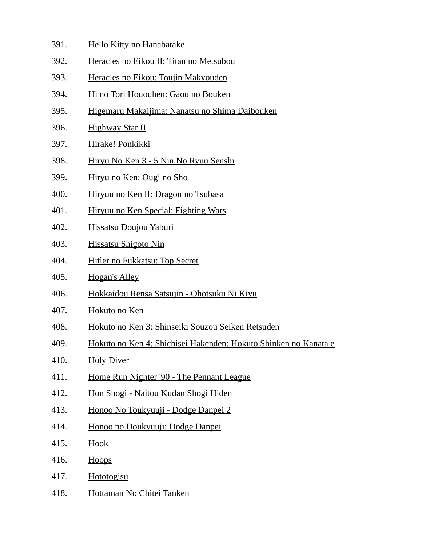- 391. Hello Kitty no Hanabatake
- 392. Heracles no Eikou II: Titan no Metsubou
- 393. Heracles no Eikou: Toujin Makyouden
- 394. Hi no Tori Hououhen: Gaou no Bouken
- 395. Higemaru Makaijima: Nanatsu no Shima Daibouken
- 396. Highway Star II
- 397. Hirake! Ponkikki
- 398. Hiryu No Ken 3 5 Nin No Ryuu Senshi
- 399. Hiryu no Ken: Ougi no Sho
- 400. Hiryuu no Ken II: Dragon no Tsubasa
- 401. Hiryuu no Ken Special: Fighting Wars
- 402. Hissatsu Doujou Yaburi
- 403. Hissatsu Shigoto Nin
- 404. Hitler no Fukkatsu: Top Secret
- 405. Hogan's Alley
- 406. Hokkaidou Rensa Satsujin Ohotsuku Ni Kiyu
- 407. Hokuto no Ken
- 408. Hokuto no Ken 3: Shinseiki Souzou Seiken Retsuden
- 409. Hokuto no Ken 4: Shichisei Hakenden: Hokuto Shinken no Kanata e
- 410. Holy Diver
- 411. Home Run Nighter '90 The Pennant League
- 412. Hon Shogi Naitou Kudan Shogi Hiden
- 413. Honoo No Toukyuuji Dodge Danpei 2
- 414. Honoo no Doukyuuji: Dodge Danpei
- 415. **Hook**
- 416. Hoops
- 417. Hototogisu
- 418. Hottaman No Chitei Tanken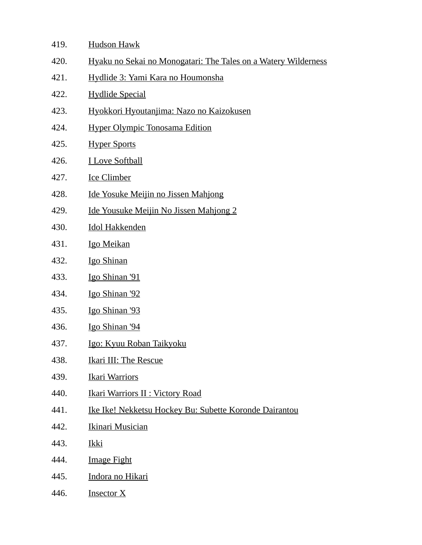- 419. Hudson Hawk
- 420. Hyaku no Sekai no Monogatari: The Tales on a Watery Wilderness
- 421. Hydlide 3: Yami Kara no Houmonsha
- 422. Hydlide Special
- 423. Hyokkori Hyoutanjima: Nazo no Kaizokusen
- 424. Hyper Olympic Tonosama Edition
- 425. Hyper Sports
- 426. I Love Softball
- 427. Ice Climber
- 428. Ide Yosuke Meijin no Jissen Mahjong
- 429. Ide Yousuke Meijin No Jissen Mahjong 2
- 430. Idol Hakkenden
- 431. Igo Meikan
- 432. Igo Shinan
- 433. Igo Shinan '91
- 434. Igo Shinan '92
- 435. Igo Shinan '93
- 436. Igo Shinan '94
- 437. **Igo: Kyuu Roban Taikyoku**
- 438. Ikari III: The Rescue
- 439. Ikari Warriors
- 440. Ikari Warriors II : Victory Road
- 441. Ike Ike! Nekketsu Hockey Bu: Subette Koronde Dairantou
- 442. Ikinari Musician
- 443. Ikki
- 444. Image Fight
- 445. Indora no Hikari
- 446. Insector X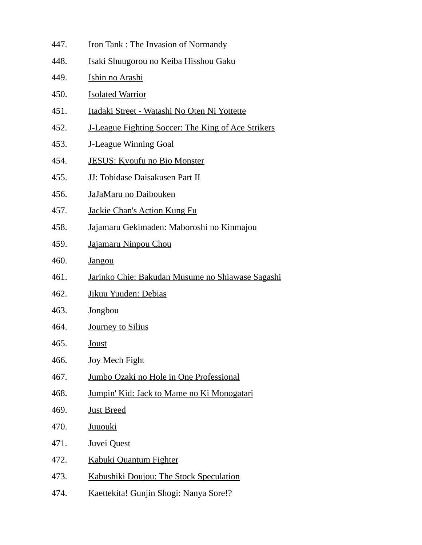- 447. Iron Tank : The Invasion of Normandy
- 448. Isaki Shuugorou no Keiba Hisshou Gaku
- 449. Ishin no Arashi
- 450. Isolated Warrior
- 451. Itadaki Street Watashi No Oten Ni Yottette
- 452. J-League Fighting Soccer: The King of Ace Strikers
- 453. J-League Winning Goal
- 454. JESUS: Kyoufu no Bio Monster
- 455. JJ: Tobidase Daisakusen Part II
- 456. JaJaMaru no Daibouken
- 457. Jackie Chan's Action Kung Fu
- 458. Jajamaru Gekimaden: Maboroshi no Kinmajou
- 459. Jajamaru Ninpou Chou
- 460. Jangou
- 461. Jarinko Chie: Bakudan Musume no Shiawase Sagashi
- 462. Jikuu Yuuden: Debias
- 463. Jongbou
- 464. Journey to Silius
- 465. Joust
- 466. Joy Mech Fight
- 467. Jumbo Ozaki no Hole in One Professional
- 468. Jumpin' Kid: Jack to Mame no Ki Monogatari
- 469. Just Breed
- 470. Juuouki
- 471. Juvei Quest
- 472. Kabuki Quantum Fighter
- 473. Kabushiki Doujou: The Stock Speculation
- 474. Kaettekita! Gunjin Shogi: Nanya Sore!?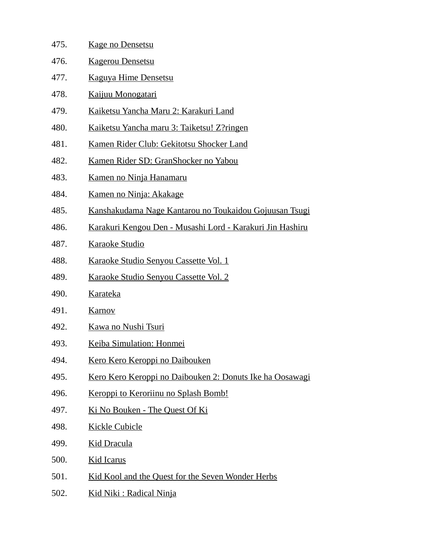| 475. | <b>Kage no Densetsu</b>                                   |
|------|-----------------------------------------------------------|
| 476. | <b>Kagerou Densetsu</b>                                   |
| 477. | <b>Kaguya Hime Densetsu</b>                               |
| 478. | Kaijuu Monogatari                                         |
| 479. | Kaiketsu Yancha Maru 2: Karakuri Land                     |
| 480. | Kaiketsu Yancha maru 3: Taiketsu! Z?ringen                |
| 481. | Kamen Rider Club: Gekitotsu Shocker Land                  |
| 482. | Kamen Rider SD: GranShocker no Yabou                      |
| 483. | Kamen no Ninja Hanamaru                                   |
| 484. | Kamen no Ninja: Akakage                                   |
| 485. | Kanshakudama Nage Kantarou no Toukaidou Gojuusan Tsugi    |
| 486. | Karakuri Kengou Den - Musashi Lord - Karakuri Jin Hashiru |
| 487. | <u>Karaoke Studio</u>                                     |
| 488. | Karaoke Studio Senyou Cassette Vol. 1                     |
| 489. | <u>Karaoke Studio Senyou Cassette Vol. 2</u>              |
| 490. | <b>Karateka</b>                                           |
| 491. | <b>Karnov</b>                                             |
| 492. | Kawa no Nushi Tsuri                                       |
| 493. | Keiba Simulation: Honmei                                  |
| 494. | <u>Kero Kero Keroppi no Daibouken</u>                     |
| 495. | Kero Kero Keroppi no Daibouken 2: Donuts Ike ha Oosawagi  |
| 496. | Keroppi to Keroriinu no Splash Bomb!                      |
| 497. | Ki No Bouken - The Quest Of Ki                            |
| 498. | <b>Kickle Cubicle</b>                                     |
| 499. | <b>Kid Dracula</b>                                        |
| 500. | <b>Kid Icarus</b>                                         |
| 501. | Kid Kool and the Quest for the Seven Wonder Herbs         |
|      |                                                           |

502. Kid Niki: Radical Ninja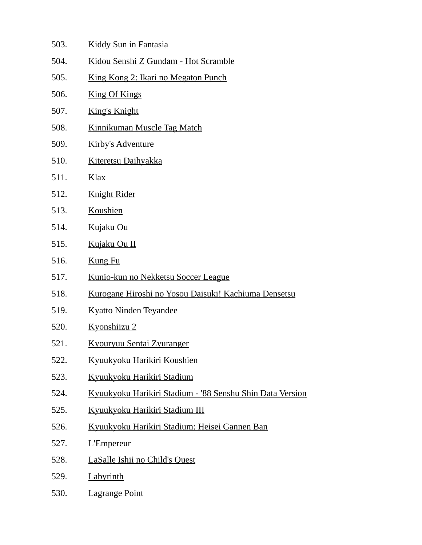- 503. Kiddy Sun in Fantasia
- 504. Kidou Senshi Z Gundam Hot Scramble
- 505. King Kong 2: Ikari no Megaton Punch
- 506. King Of Kings
- 507. King's Knight
- 508. Kinnikuman Muscle Tag Match
- 509. Kirby's Adventure
- 510. Kiteretsu Daihyakka
- 511. Klax
- 512. Knight Rider
- 513. Koushien
- 514. Kujaku Ou
- 515. Kujaku Ou II
- 516. Kung Fu
- 517. Kunio-kun no Nekketsu Soccer League
- 518. Kurogane Hiroshi no Yosou Daisuki! Kachiuma Densetsu
- 519. Kyatto Ninden Teyandee
- 520. Kyonshiizu 2
- 521. Kyouryuu Sentai Zyuranger
- 522. Kyuukyoku Harikiri Koushien
- 523. Kyuukyoku Harikiri Stadium
- 524. Kyuukyoku Harikiri Stadium '88 Senshu Shin Data Version
- 525. Kyuukyoku Harikiri Stadium III
- 526. Kyuukyoku Harikiri Stadium: Heisei Gannen Ban
- 527. L'Empereur
- 528. LaSalle Ishii no Child's Quest
- 529. Labyrinth
- 530. Lagrange Point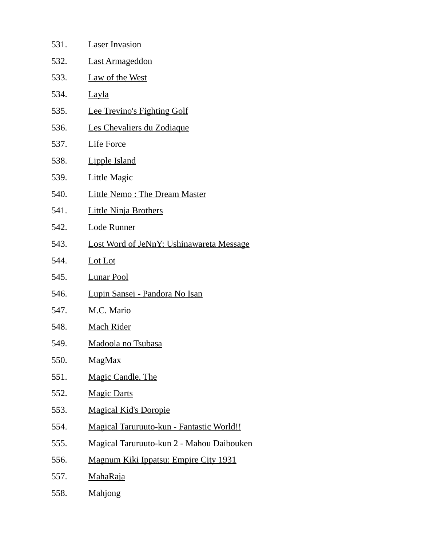| 531. | <b>Laser Invasion</b>                            |
|------|--------------------------------------------------|
| 532. | Last Armageddon                                  |
| 533. | <b>Law of the West</b>                           |
| 534. | <u>Layla</u>                                     |
| 535. | <b>Lee Trevino's Fighting Golf</b>               |
| 536. | Les Chevaliers du Zodiaque                       |
| 537. | <b>Life Force</b>                                |
| 538. | <b>Lipple Island</b>                             |
| 539. | <b>Little Magic</b>                              |
| 540. | <b>Little Nemo: The Dream Master</b>             |
| 541. | <b>Little Ninja Brothers</b>                     |
| 542. | <u>Lode Runner</u>                               |
| 543. | <b>Lost Word of JeNnY: Ushinawareta Message</b>  |
| 544. | Lot Lot                                          |
| 545. | <b>Lunar Pool</b>                                |
| 546. | <u> Lupin Sansei - Pandora No Isan</u>           |
| 547. | M.C. Mario                                       |
| 548. | <b>Mach Rider</b>                                |
| 549. | <b>Madoola no Tsubasa</b>                        |
| 550. | <u>MagMax</u>                                    |
| 551. | <b>Magic Candle, The</b>                         |
| 552. | <b>Magic Darts</b>                               |
| 553. | <b>Magical Kid's Doropie</b>                     |
| 554. | <b>Magical Taruruuto-kun - Fantastic World!!</b> |
| 555. | <b>Magical Taruruuto-kun 2 - Mahou Daibouken</b> |
| 556. | Magnum Kiki Ippatsu: Empire City 1931            |
| 557. | <u>MahaRaja</u>                                  |
| 558. | <b>Mahjong</b>                                   |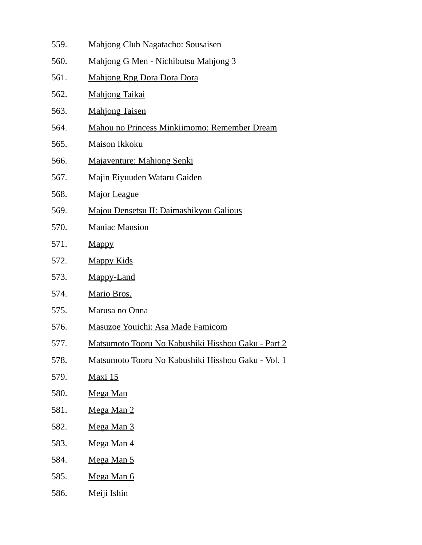- 559. Mahjong Club Nagatacho: Sousaisen
- 560. Mahjong G Men Nichibutsu Mahjong 3
- 561. Mahjong Rpg Dora Dora Dora
- 562. Mahjong Taikai
- 563. Mahjong Taisen
- 564. Mahou no Princess Minkiimomo: Remember Dream
- 565. Maison Ikkoku
- 566. Majaventure: Mahjong Senki
- 567. Majin Eiyuuden Wataru Gaiden
- 568. Major League
- 569. Majou Densetsu II: Daimashikyou Galious
- 570. Maniac Mansion
- 571. Mappy
- 572. Mappy Kids
- 573. Mappy-Land
- 574. Mario Bros.
- 575. Marusa no Onna
- 576. Masuzoe Youichi: Asa Made Famicom
- 577. Matsumoto Tooru No Kabushiki Hisshou Gaku Part 2
- 578. Matsumoto Tooru No Kabushiki Hisshou Gaku Vol. 1
- 579. Maxi 15
- 580. Mega Man
- 581. Mega Man 2
- 582. Mega Man 3
- 583. Mega Man 4
- 584. Mega Man 5
- 585. Mega Man 6
- 586. Meiji Ishin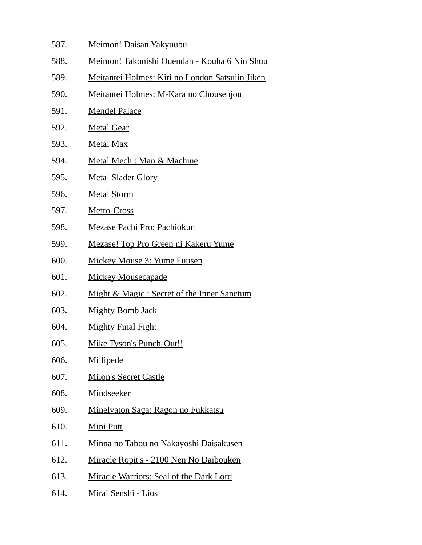587. Meimon! Daisan Yakyuubu 588. Meimon! Takonishi Ouendan - Kouha 6 Nin Shuu 589. Meitantei Holmes: Kiri no London Satsujin Jiken 590. Meitantei Holmes: M-Kara no Chousenjou 591. Mendel Palace 592. Metal Gear 593. Metal Max 594. Metal Mech : Man & Machine 595. Metal Slader Glory 596. Metal Storm 597. Metro-Cross 598. Mezase Pachi Pro: Pachiokun 599. Mezase! Top Pro Green ni Kakeru Yume 600. Mickey Mouse 3: Yume Fuusen 601. Mickey Mousecapade 602. Might & Magic : Secret of the Inner Sanctum 603. Mighty Bomb Jack 604. Mighty Final Fight 605. Mike Tyson's Punch-Out!! 606. Millipede 607. Milon's Secret Castle 608. Mindseeker 609. Minelvaton Saga: Ragon no Fukkatsu 610. Mini Putt 611. Minna no Tabou no Nakayoshi Daisakusen 612. Miracle Ropit's - 2100 Nen No Daibouken 613. Miracle Warriors: Seal of the Dark Lord 614. Mirai Senshi - Lios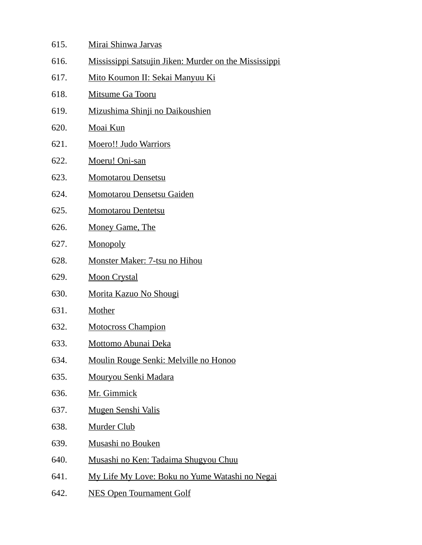| 615. | Mirai Shinwa Jarvas                                   |
|------|-------------------------------------------------------|
| 616. | Mississippi Satsujin Jiken: Murder on the Mississippi |
| 617. | Mito Koumon II: Sekai Manyuu Ki                       |
| 618. | <b>Mitsume Ga Tooru</b>                               |
| 619. | Mizushima Shinji no Daikoushien                       |
| 620. | <b>Moai Kun</b>                                       |
| 621. | <b>Moero!! Judo Warriors</b>                          |
| 622. | Moeru! Oni-san                                        |
| 623. | Momotarou Densetsu                                    |
| 624. | <b>Momotarou Densetsu Gaiden</b>                      |
| 625. | <b>Momotarou Dentetsu</b>                             |
| 626. | Money Game, The                                       |
| 627. | Monopoly                                              |
| 628. | Monster Maker: 7-tsu no Hihou                         |
| 629. | <b>Moon Crystal</b>                                   |
| 630. | Morita Kazuo No Shougi                                |
| 631. | Mother                                                |
| 632. | <b>Motocross Champion</b>                             |
| 633. | <u>Mottomo Abunai Deka</u>                            |
| 634. | Moulin Rouge Senki: Melville no Honoo                 |
| 635. | <u>Mouryou Senki Madara</u>                           |
| 636. | <b>Mr. Gimmick</b>                                    |
| 637. | <b>Mugen Senshi Valis</b>                             |
| 638. | <b>Murder Club</b>                                    |
| 639. | <b>Musashi no Bouken</b>                              |
| 640. | <u>Musashi no Ken: Tadaima Shugyou Chuu</u>           |
| 641. | My Life My Love: Boku no Yume Watashi no Negai        |
| 642. | <b>NES Open Tournament Golf</b>                       |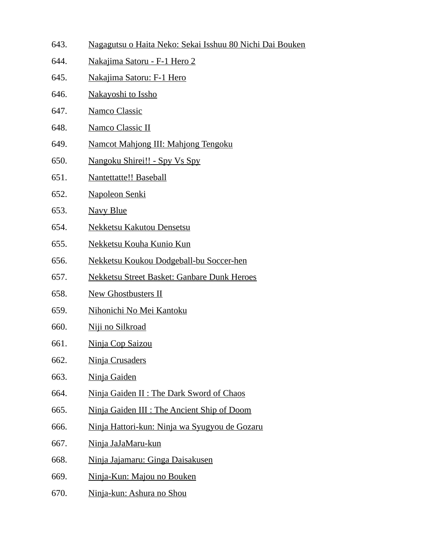- 643. Nagagutsu o Haita Neko: Sekai Isshuu 80 Nichi Dai Bouken
- 644. Nakajima Satoru F-1 Hero 2
- 645. Nakajima Satoru: F-1 Hero
- 646. Nakayoshi to Issho
- 647. Namco Classic
- 648. Namco Classic II
- 649. Namcot Mahjong III: Mahjong Tengoku
- 650. Nangoku Shirei!! Spy Vs Spy
- 651. Nantettatte!! Baseball
- 652. Napoleon Senki
- 653. Navy Blue
- 654. Nekketsu Kakutou Densetsu
- 655. Nekketsu Kouha Kunio Kun
- 656. Nekketsu Koukou Dodgeball-bu Soccer-hen
- 657. Nekketsu Street Basket: Ganbare Dunk Heroes
- 658. New Ghostbusters II
- 659. Nihonichi No Mei Kantoku
- 660. Niji no Silkroad
- 661. Ninja Cop Saizou
- 662. Ninja Crusaders
- 663. Ninja Gaiden
- 664. Ninja Gaiden II : The Dark Sword of Chaos
- 665. Ninja Gaiden III : The Ancient Ship of Doom
- 666. Ninja Hattori-kun: Ninja wa Syugyou de Gozaru
- 667. Ninja JaJaMaru-kun
- 668. Ninja Jajamaru: Ginga Daisakusen
- 669. Ninja-Kun: Majou no Bouken
- 670. Ninja-kun: Ashura no Shou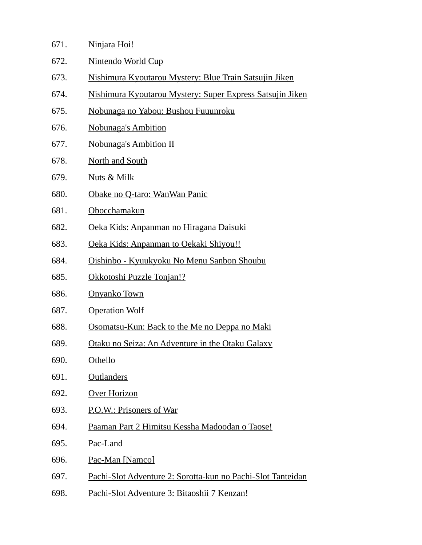| 671. | Ninjara Hoi!                                                |
|------|-------------------------------------------------------------|
| 672. | <b>Nintendo World Cup</b>                                   |
| 673. | Nishimura Kyoutarou Mystery: Blue Train Satsujin Jiken      |
| 674. | Nishimura Kyoutarou Mystery: Super Express Satsujin Jiken   |
| 675. | Nobunaga no Yabou: Bushou Fuuunroku                         |
| 676. | <b>Nobunaga's Ambition</b>                                  |
| 677. | <b>Nobunaga's Ambition II</b>                               |
| 678. | <b>North and South</b>                                      |
| 679. | Nuts & Milk                                                 |
| 680. | Obake no Q-taro: WanWan Panic                               |
| 681. | Obocchamakun                                                |
| 682. | Oeka Kids: Anpanman no Hiragana Daisuki                     |
| 683. | Oeka Kids: Anpanman to Oekaki Shiyou!!                      |
| 684. | Oishinbo - Kyuukyoku No Menu Sanbon Shoubu                  |
| 685. | <u>Okkotoshi Puzzle Tonjan!?</u>                            |
| 686. | <b>Onyanko Town</b>                                         |
| 687. | <b>Operation Wolf</b>                                       |
| 688. | Osomatsu-Kun: Back to the Me no Deppa no Maki               |
| 689. | Otaku no Seiza: An Adventure in the Otaku Galaxy            |
| 690. | <b>Othello</b>                                              |
| 691. | <b>Outlanders</b>                                           |
| 692. | <b>Over Horizon</b>                                         |
| 693. | P.O.W.: Prisoners of War                                    |
| 694. | Paaman Part 2 Himitsu Kessha Madoodan o Taose!              |
| 695. | Pac-Land                                                    |
| 696. | Pac-Man [Namco]                                             |
| 697. | Pachi-Slot Adventure 2: Sorotta-kun no Pachi-Slot Tanteidan |
| 698. | Pachi-Slot Adventure 3: Bitaoshii 7 Kenzan!                 |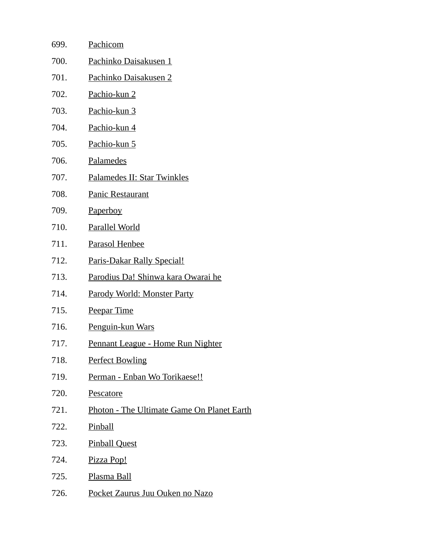| 699. | Pachicom                                   |
|------|--------------------------------------------|
| 700. | Pachinko Daisakusen 1                      |
| 701. | Pachinko Daisakusen 2                      |
| 702. | Pachio-kun 2                               |
| 703. | Pachio-kun 3                               |
| 704. | Pachio-kun 4                               |
| 705. | Pachio-kun 5                               |
| 706. | Palamedes                                  |
| 707. | Palamedes II: Star Twinkles                |
| 708. | <b>Panic Restaurant</b>                    |
| 709. | <b>Paperboy</b>                            |
| 710. | <b>Parallel World</b>                      |
| 711. | <b>Parasol Henbee</b>                      |
| 712. | <b>Paris-Dakar Rally Special!</b>          |
| 713. | Parodius Da! Shinwa kara Owarai he         |
| 714. | Parody World: Monster Party                |
| 715. | <b>Peepar Time</b>                         |
| 716. | Penguin-kun Wars                           |
| 717. | Pennant League - Home Run Nighter          |
| 718. | <b>Perfect Bowling</b>                     |
| 719. | Perman - Enban Wo Torikaese!!              |
| 720. | Pescatore                                  |
| 721. | Photon - The Ultimate Game On Planet Earth |
| 722. | <b>Pinball</b>                             |
| 723. | <b>Pinball Quest</b>                       |
| 724. | Pizza Pop!                                 |
| 725. | Plasma Ball                                |
| 726. | Pocket Zaurus Juu Ouken no Nazo            |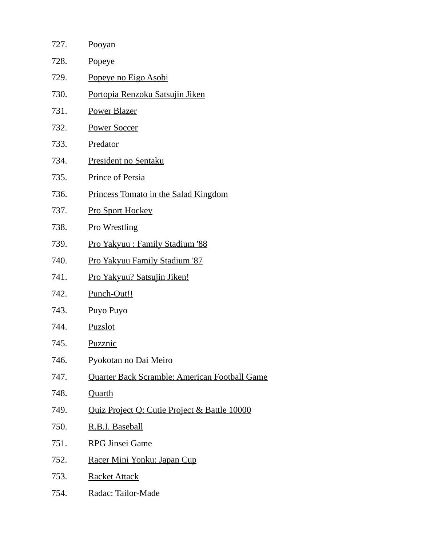| 727. | <b>Pooyan</b>                                 |
|------|-----------------------------------------------|
| 728. | <b>Popeye</b>                                 |
| 729. | <u>Popeye no Eigo Asobi</u>                   |
| 730. | <u>Portopia Renzoku Satsujin Jiken</u>        |
| 731. | Power Blazer                                  |
| 732. | <b>Power Soccer</b>                           |
| 733. | Predator                                      |
| 734. | <b>President no Sentaku</b>                   |
| 735. | <b>Prince of Persia</b>                       |
| 736. | Princess Tomato in the Salad Kingdom          |
| 737. | <b>Pro Sport Hockey</b>                       |
| 738. | <b>Pro Wrestling</b>                          |
| 739. | <u> Pro Yakyuu : Family Stadium '88</u>       |
| 740. | <u>Pro Yakyuu Family Stadium '87</u>          |
| 741. | <u>Pro Yakyuu? Satsujin Jiken!</u>            |
| 742. | Punch-Out!!                                   |
| 743. | Puyo Puyo                                     |
| 744. | Puzslot                                       |
| 745. | <b>Puzznic</b>                                |
| 746. | Pyokotan no Dai Meiro                         |
| 747. | Quarter Back Scramble: American Football Game |
| 748. | <b>Quarth</b>                                 |
| 749. | Quiz Project Q: Cutie Project & Battle 10000  |
| 750. | R.B.I. Baseball                               |
| 751. | <b>RPG Jinsei Game</b>                        |
| 752. | Racer Mini Yonku: Japan Cup                   |
| 753. | <b>Racket Attack</b>                          |
| 754. | Radac: Tailor-Made                            |
|      |                                               |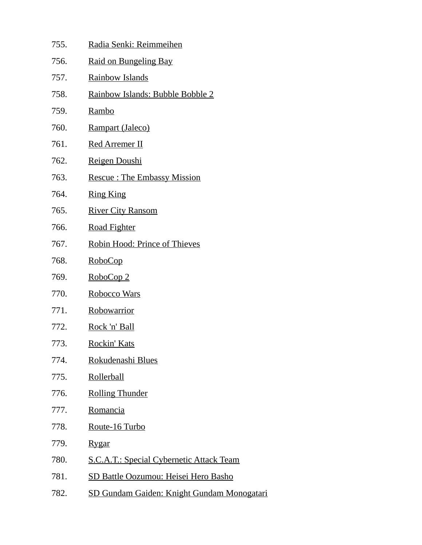| 755. | Radia Senki: Reimmeihen                           |
|------|---------------------------------------------------|
| 756. | <b>Raid on Bungeling Bay</b>                      |
| 757. | <b>Rainbow Islands</b>                            |
| 758. | Rainbow Islands: Bubble Bobble 2                  |
| 759. | Rambo                                             |
| 760. | Rampart (Jaleco)                                  |
| 761. | <b>Red Arremer II</b>                             |
| 762. | Reigen Doushi                                     |
| 763. | <b>Rescue: The Embassy Mission</b>                |
| 764. | <b>Ring King</b>                                  |
| 765. | <b>River City Ransom</b>                          |
| 766. | <b>Road Fighter</b>                               |
| 767. | Robin Hood: Prince of Thieves                     |
| 768. | <u>RoboCop</u>                                    |
| 769. | RoboCop 2                                         |
| 770. | <b>Robocco Wars</b>                               |
| 771. | Robowarrior                                       |
| 772. | <u>Rock 'n' Ball</u>                              |
| 773. | Rockin' Kats                                      |
| 774. | Rokudenashi Blues                                 |
| 775. | Rollerball                                        |
| 776. | <b>Rolling Thunder</b>                            |
| 777. | Romancia                                          |
| 778. | Route-16 Turbo                                    |
| 779. | <u>Rygar</u>                                      |
| 780. | <b>S.C.A.T.: Special Cybernetic Attack Team</b>   |
| 781. | <b>SD Battle Oozumou: Heisei Hero Basho</b>       |
| 782. | <b>SD Gundam Gaiden: Knight Gundam Monogatari</b> |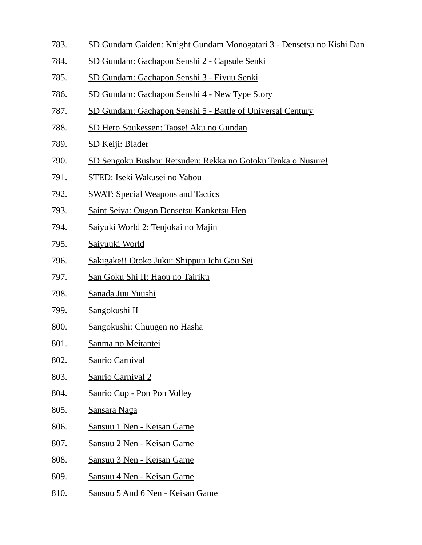- 783. SD Gundam Gaiden: Knight Gundam Monogatari 3 Densetsu no Kishi Dan
- 784. SD Gundam: Gachapon Senshi 2 Capsule Senki
- 785. SD Gundam: Gachapon Senshi 3 Eiyuu Senki
- 786. SD Gundam: Gachapon Senshi 4 New Type Story
- 787. SD Gundam: Gachapon Senshi 5 Battle of Universal Century
- 788. SD Hero Soukessen: Taose! Aku no Gundan
- 789. SD Keiji: Blader
- 790. SD Sengoku Bushou Retsuden: Rekka no Gotoku Tenka o Nusure!
- 791. STED: Iseki Wakusei no Yabou
- 792. SWAT: Special Weapons and Tactics
- 793. Saint Seiya: Ougon Densetsu Kanketsu Hen
- 794. Saiyuki World 2: Tenjokai no Majin
- 795. Saiyuuki World
- 796. Sakigake!! Otoko Juku: Shippuu Ichi Gou Sei
- 797. San Goku Shi II: Haou no Tairiku
- 798. Sanada Juu Yuushi
- 799. Sangokushi II
- 800. Sangokushi: Chuugen no Hasha
- 801. Sanma no Meitantei
- 802. Sanrio Carnival
- 803. Sanrio Carnival 2
- 804. Sanrio Cup Pon Pon Volley
- 805. Sansara Naga
- 806. Sansuu 1 Nen Keisan Game
- 807. Sansuu 2 Nen Keisan Game
- 808. Sansuu 3 Nen Keisan Game
- 809. Sansuu 4 Nen Keisan Game
- 810. Sansuu 5 And 6 Nen Keisan Game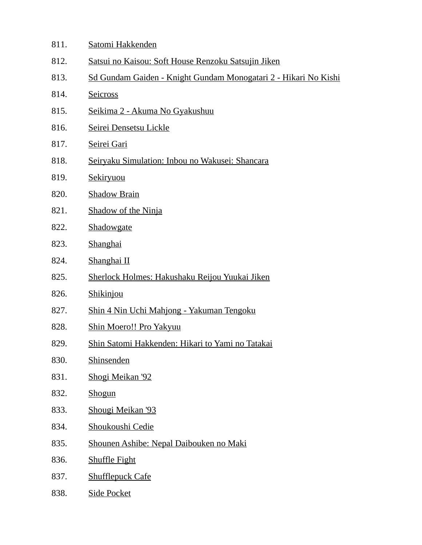| 811. | Satomi Hakkenden                                                |
|------|-----------------------------------------------------------------|
| 812. | Satsui no Kaisou: Soft House Renzoku Satsujin Jiken             |
| 813. | Sd Gundam Gaiden - Knight Gundam Monogatari 2 - Hikari No Kishi |
| 814. | <b>Seicross</b>                                                 |
| 815. | Seikima 2 - Akuma No Gyakushuu                                  |
| 816. | Seirei Densetsu Lickle                                          |
| 817. | Seirei Gari                                                     |
| 818. | Seiryaku Simulation: Inbou no Wakusei: Shancara                 |
| 819. | <b>Sekiryuou</b>                                                |
| 820. | <b>Shadow Brain</b>                                             |
| 821. | <b>Shadow of the Ninja</b>                                      |
| 822. | Shadowgate                                                      |
| 823. | <b>Shanghai</b>                                                 |
| 824. | Shanghai II                                                     |
| 825. | Sherlock Holmes: Hakushaku Reijou Yuukai Jiken                  |
| 826. | Shikinjou                                                       |
| 827. | Shin 4 Nin Uchi Mahjong - Yakuman Tengoku                       |
| 828. | Shin Moero!! Pro Yakyuu                                         |
| 829. | Shin Satomi Hakkenden: Hikari to Yami no Tatakai                |
| 830. | <b>Shinsenden</b>                                               |
| 831. | Shogi Meikan '92                                                |
| 832. | Shogun                                                          |
| 833. | Shougi Meikan '93                                               |
| 834. | Shoukoushi Cedie                                                |
| 835. | Shounen Ashibe: Nepal Daibouken no Maki                         |
| 836. | <b>Shuffle Fight</b>                                            |
| 837. | <b>Shufflepuck Cafe</b>                                         |
| 838. | <b>Side Pocket</b>                                              |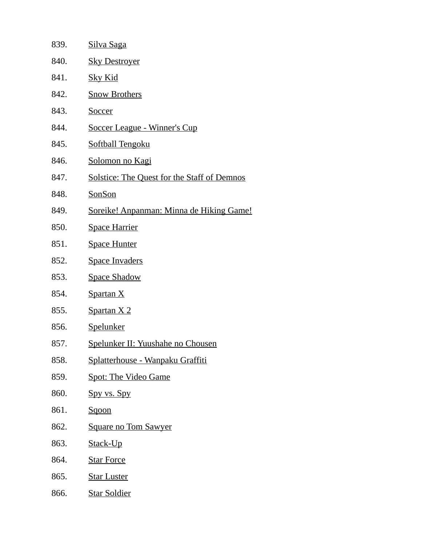| 839. | <u>Silva Saga</u>                                  |
|------|----------------------------------------------------|
| 840. | <b>Sky Destroyer</b>                               |
| 841. | <u>Sky Kid</u>                                     |
| 842. | <b>Snow Brothers</b>                               |
| 843. | Soccer                                             |
| 844. | <b>Soccer League - Winner's Cup</b>                |
| 845. | <b>Softball Tengoku</b>                            |
| 846. | <u>Solomon no Kagi</u>                             |
| 847. | <b>Solstice: The Quest for the Staff of Demnos</b> |
| 848. | SonSon                                             |
| 849. | Soreike! Anpanman: Minna de Hiking Game!           |
| 850. | <b>Space Harrier</b>                               |
| 851. | <b>Space Hunter</b>                                |
| 852. | <b>Space Invaders</b>                              |
| 853. | <b>Space Shadow</b>                                |
| 854. | <b>Spartan X</b>                                   |
| 855. | Spartan X 2                                        |
| 856. | <b>Spelunker</b>                                   |
| 857. | <b>Spelunker II: Yuushahe no Chousen</b>           |
| 858. | <u> Splatterhouse - Wanpaku Graffiti</u>           |
| 859. | <b>Spot: The Video Game</b>                        |
| 860. | Spy vs. Spy                                        |
| 861. | <u>Sqoon</u>                                       |
| 862. | <b>Square no Tom Sawyer</b>                        |
| 863. | <u>Stack-Up</u>                                    |
| 864. | <b>Star Force</b>                                  |
| 865. | <b>Star Luster</b>                                 |
| 866. | <b>Star Soldier</b>                                |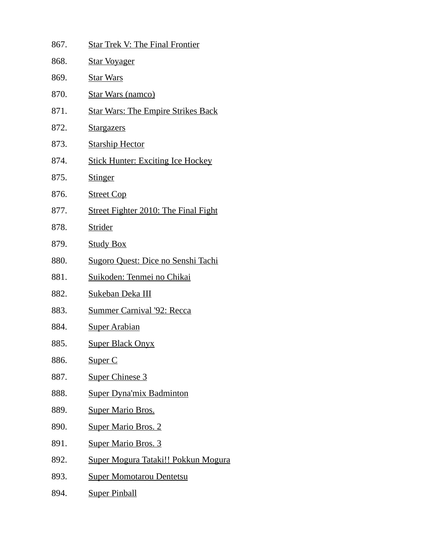| 867. | <b>Star Trek V: The Final Frontier</b>      |
|------|---------------------------------------------|
| 868. | <b>Star Voyager</b>                         |
| 869. | <b>Star Wars</b>                            |
| 870. | <b>Star Wars (namco)</b>                    |
| 871. | <b>Star Wars: The Empire Strikes Back</b>   |
| 872. | <b>Stargazers</b>                           |
| 873. | <b>Starship Hector</b>                      |
| 874. | <b>Stick Hunter: Exciting Ice Hockey</b>    |
| 875. | <b>Stinger</b>                              |
| 876. | <b>Street Cop</b>                           |
| 877. | <b>Street Fighter 2010: The Final Fight</b> |
| 878. | Strider                                     |
| 879. | <b>Study Box</b>                            |
| 880. | <u> Sugoro Quest: Dice no Senshi Tachi</u>  |
| 881. | <u> Suikoden: Tenmei no Chikai</u>          |
| 882. | Sukeban Deka III                            |
| 883. | <b>Summer Carnival '92: Recca</b>           |
| 884. | <u>Super Arabian</u>                        |
| 885. | <u>Super Black Onyx</u>                     |
| 886. | Super C                                     |
| 887. | <b>Super Chinese 3</b>                      |
| 888. | <b>Super Dyna'mix Badminton</b>             |
| 889. | <b>Super Mario Bros.</b>                    |
| 890. | <b>Super Mario Bros. 2</b>                  |
| 891. | <b>Super Mario Bros. 3</b>                  |
| 892. | Super Mogura Tataki!! Pokkun Mogura         |
| 893. | <b>Super Momotarou Dentetsu</b>             |
| 894. | <u>Super Pinball</u>                        |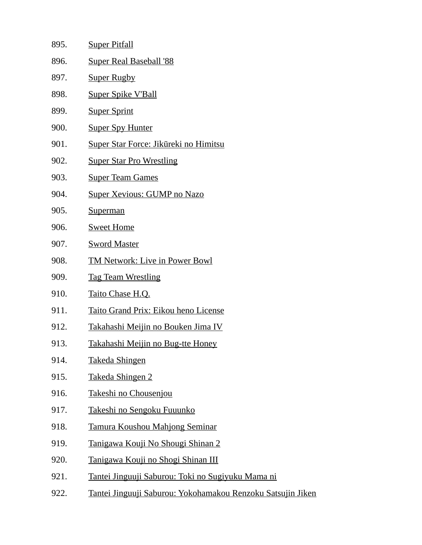| 895. | <b>Super Pitfall</b>                                        |
|------|-------------------------------------------------------------|
| 896. | <b>Super Real Baseball '88</b>                              |
| 897. | <b>Super Rugby</b>                                          |
| 898. | <b>Super Spike V'Ball</b>                                   |
| 899. | <b>Super Sprint</b>                                         |
| 900. | <b>Super Spy Hunter</b>                                     |
| 901. | Super Star Force: Jikūreki no Himitsu                       |
| 902. | <b>Super Star Pro Wrestling</b>                             |
| 903. | <b>Super Team Games</b>                                     |
| 904. | <b>Super Xevious: GUMP no Nazo</b>                          |
| 905. | <b>Superman</b>                                             |
| 906. | <b>Sweet Home</b>                                           |
| 907. | <b>Sword Master</b>                                         |
| 908. | <b>TM Network: Live in Power Bowl</b>                       |
| 909. | <b>Tag Team Wrestling</b>                                   |
| 910. | Taito Chase H.Q.                                            |
| 911. | Taito Grand Prix: Eikou heno License                        |
| 912. | Takahashi Meijin no Bouken Jima IV                          |
| 913. | Takahashi Meijin no Bug-tte Honey                           |
| 914. | <b>Takeda Shingen</b>                                       |
| 915. | Takeda Shingen 2                                            |
| 916. | Takeshi no Chousenjou                                       |
| 917. | <u>Takeshi no Sengoku Fuuunko</u>                           |
| 918. | <b>Tamura Koushou Mahjong Seminar</b>                       |
| 919. | Tanigawa Kouji No Shougi Shinan 2                           |
| 920. | Tanigawa Kouji no Shogi Shinan III                          |
| 921. | <u>Tantei Jinguuji Saburou: Toki no Sugiyuku Mama ni</u>    |
| 922. | Tantei Jinguuji Saburou: Yokohamakou Renzoku Satsujin Jiken |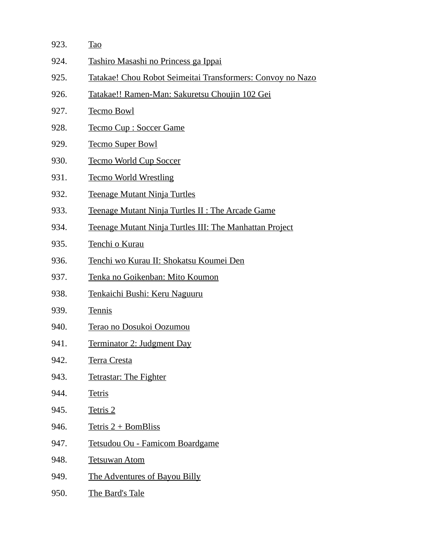| 923. | <b>Tao</b>                                                 |
|------|------------------------------------------------------------|
| 924. | Tashiro Masashi no Princess ga Ippai                       |
| 925. | Tatakae! Chou Robot Seimeitai Transformers: Convoy no Nazo |
| 926. | <u>Tatakae!! Ramen-Man: Sakuretsu Choujin 102 Gei</u>      |
| 927. | <b>Tecmo Bowl</b>                                          |
| 928. | <b>Tecmo Cup: Soccer Game</b>                              |
| 929. | <b>Tecmo Super Bowl</b>                                    |
| 930. | <u>Tecmo World Cup Soccer</u>                              |
| 931. | <b>Tecmo World Wrestling</b>                               |
| 932. | <b>Teenage Mutant Ninja Turtles</b>                        |
| 933. | <b>Teenage Mutant Ninja Turtles II: The Arcade Game</b>    |
| 934. | Teenage Mutant Ninja Turtles III: The Manhattan Project    |
| 935. | Tenchi o Kurau                                             |
| 936. | Tenchi wo Kurau II: Shokatsu Koumei Den                    |
| 937. | Tenka no Goikenban: Mito Koumon                            |
| 938. | <u>Tenkaichi Bushi: Keru Naguuru</u>                       |
| 939. | <b>Tennis</b>                                              |
| 940. | Terao no Dosukoi Oozumou                                   |
| 941. | Terminator 2: Judgment Day                                 |
| 942. | <b>Terra Cresta</b>                                        |
| 943. | <b>Tetrastar: The Fighter</b>                              |
| 944. | <b>Tetris</b>                                              |
| 945. | Tetris 2                                                   |
| 946. | Tetris 2 + BomBliss                                        |
| 947. | Tetsudou Ou - Famicom Boardgame                            |
| 948. | <b>Tetsuwan Atom</b>                                       |
| 949. | The Adventures of Bayou Billy                              |
| 950. | The Bard's Tale                                            |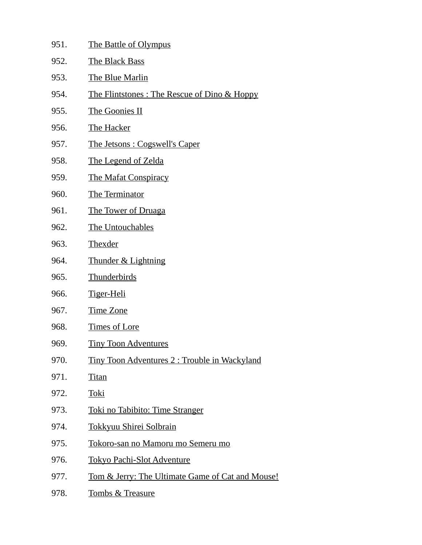| 951. | <b>The Battle of Olympus</b>                                |
|------|-------------------------------------------------------------|
| 952. | <b>The Black Bass</b>                                       |
| 953. | <b>The Blue Marlin</b>                                      |
| 954. | <u> The Flintstones: The Rescue of Dino &amp; Hoppy</u>     |
| 955. | The Goonies II                                              |
| 956. | The Hacker                                                  |
| 957. | <u><b>The Jetsons: Cogswell's Caper</b></u>                 |
| 958. | <b>The Legend of Zelda</b>                                  |
| 959. | <b>The Mafat Conspiracy</b>                                 |
| 960. | <b>The Terminator</b>                                       |
| 961. | <u>The Tower of Druaga</u>                                  |
| 962. | The Untouchables                                            |
| 963. | <b>Thexder</b>                                              |
| 964. | <b>Thunder &amp; Lightning</b>                              |
| 965. | <b>Thunderbirds</b>                                         |
| 966. | Tiger-Heli                                                  |
| 967. | Time Zone                                                   |
| 968. | <b>Times of Lore</b>                                        |
| 969. | <b>Tiny Toon Adventures</b>                                 |
| 970. | <u>Tiny Toon Adventures 2: Trouble in Wackyland</u>         |
| 971. | <u>Titan</u>                                                |
| 972. | Toki                                                        |
| 973. | <u>Toki no Tabibito: Time Stranger</u>                      |
| 974. | <b>Tokkyuu Shirei Solbrain</b>                              |
| 975. | Tokoro-san no Mamoru mo Semeru mo                           |
| 976. | <b>Tokyo Pachi-Slot Adventure</b>                           |
| 977. | <u>Tom &amp; Jerry: The Ultimate Game of Cat and Mouse!</u> |
| 978. | <b>Tombs &amp; Treasure</b>                                 |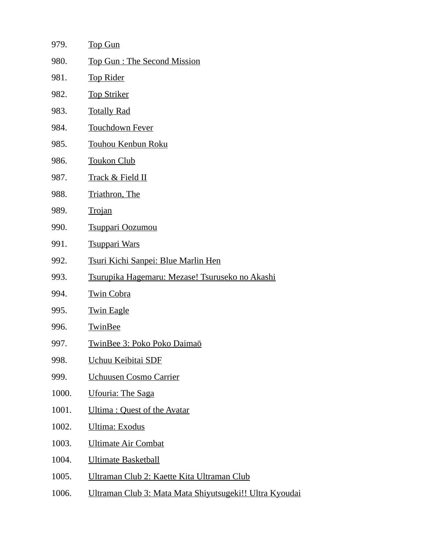| 979.  | <b>Top Gun</b>                                          |
|-------|---------------------------------------------------------|
| 980.  | Top Gun: The Second Mission                             |
| 981.  | <b>Top Rider</b>                                        |
| 982.  | <b>Top Striker</b>                                      |
| 983.  | <b>Totally Rad</b>                                      |
| 984.  | <b>Touchdown Fever</b>                                  |
| 985.  | <b>Touhou Kenbun Roku</b>                               |
| 986.  | <b>Toukon Club</b>                                      |
| 987.  | Track & Field II                                        |
| 988.  | <b>Triathron</b> , The                                  |
| 989.  | <b>Trojan</b>                                           |
| 990.  | <b>Tsuppari Oozumou</b>                                 |
| 991.  | <b>Tsuppari Wars</b>                                    |
| 992.  | <u>Tsuri Kichi Sanpei: Blue Marlin Hen</u>              |
| 993.  | Tsurupika Hagemaru: Mezase! Tsuruseko no Akashi         |
| 994.  | <b>Twin Cobra</b>                                       |
| 995.  | <b>Twin Eagle</b>                                       |
| 996.  | TwinBee                                                 |
| 997.  | TwinBee 3: Poko Poko Daimaō                             |
| 998.  | Uchuu Keibitai SDF                                      |
| 999.  | <b>Uchuusen Cosmo Carrier</b>                           |
| 1000. | <b>Ufouria: The Saga</b>                                |
| 1001. | Ultima: Quest of the Avatar                             |
| 1002. | <b>Ultima: Exodus</b>                                   |
| 1003. | <b>Ultimate Air Combat</b>                              |
| 1004. | <b>Ultimate Basketball</b>                              |
| 1005. | Ultraman Club 2: Kaette Kita Ultraman Club              |
| 1006. | Ultraman Club 3: Mata Mata Shiyutsugeki!! Ultra Kyoudai |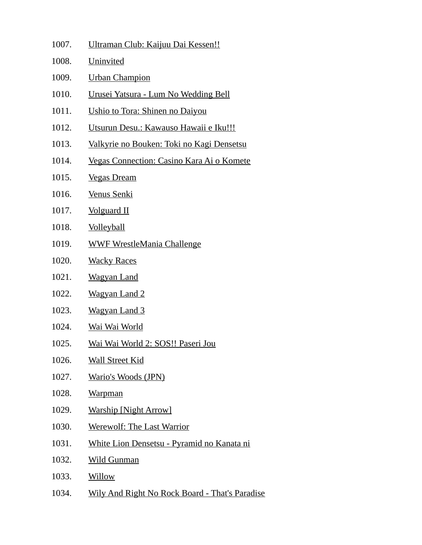| 1007. | Ultraman Club: Kaijuu Dai Kessen!!                 |
|-------|----------------------------------------------------|
| 1008. | Uninvited                                          |
| 1009. | <b>Urban Champion</b>                              |
| 1010. | Urusei Yatsura - Lum No Wedding Bell               |
| 1011. | Ushio to Tora: Shinen no Daiyou                    |
| 1012. | Utsurun Desu.: Kawauso Hawaii e Iku!!!             |
| 1013. | Valkyrie no Bouken: Toki no Kagi Densetsu          |
| 1014. | Vegas Connection: Casino Kara Ai o Komete          |
| 1015. | <b>Vegas Dream</b>                                 |
| 1016. | Venus Senki                                        |
| 1017. | <b>Volguard II</b>                                 |
| 1018. | <b>Volleyball</b>                                  |
| 1019. | <b>WWF WrestleMania Challenge</b>                  |
| 1020. | <b>Wacky Races</b>                                 |
| 1021. | <b>Wagyan Land</b>                                 |
| 1022. | <b>Wagyan Land 2</b>                               |
| 1023. | <b>Wagyan Land 3</b>                               |
| 1024. | <u>Wai Wai World</u>                               |
| 1025. | <u> Wai Wai World 2: SOS!! Paseri Jou</u>          |
| 1026. | <b>Wall Street Kid</b>                             |
| 1027. | Wario's Woods (JPN)                                |
| 1028. | <b>Warpman</b>                                     |
| 1029. | <b>Warship [Night Arrow]</b>                       |
| 1030. | <b>Werewolf: The Last Warrior</b>                  |
| 1031. | <u> White Lion Densetsu - Pyramid no Kanata ni</u> |
| 1032. | <b>Wild Gunman</b>                                 |
| 1033. | <b>Willow</b>                                      |
| 1034. | Wily And Right No Rock Board - That's Paradise     |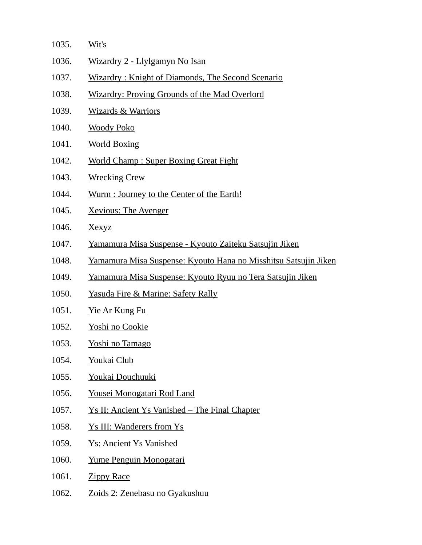| 1035. | Wit's                                                             |
|-------|-------------------------------------------------------------------|
| 1036. | Wizardry 2 - Llylgamyn No Isan                                    |
| 1037. | Wizardry: Knight of Diamonds, The Second Scenario                 |
| 1038. | <b>Wizardry: Proving Grounds of the Mad Overlord</b>              |
| 1039. | <b>Wizards &amp; Warriors</b>                                     |
| 1040. | <b>Woody Poko</b>                                                 |
| 1041. | <b>World Boxing</b>                                               |
| 1042. | <b>World Champ: Super Boxing Great Fight</b>                      |
| 1043. | <b>Wrecking Crew</b>                                              |
| 1044. | Wurm : Journey to the Center of the Earth!                        |
| 1045. | <b>Xevious: The Avenger</b>                                       |
| 1046. | <b>Xexyz</b>                                                      |
| 1047. | Yamamura Misa Suspense - Kyouto Zaiteku Satsujin Jiken            |
| 1048. | Yamamura Misa Suspense: Kyouto Hana no Misshitsu Satsujin Jiken   |
| 1049. | <u>Yamamura Misa Suspense: Kyouto Ryuu no Tera Satsujin Jiken</u> |
| 1050. | <u>Yasuda Fire &amp; Marine: Safety Rally</u>                     |
| 1051. | <u>Yie Ar Kung Fu</u>                                             |
| 1052. | <u>Yoshi no Cookie</u>                                            |
| 1053. | <b>Yoshi no Tamago</b>                                            |
| 1054. | <b>Youkai Club</b>                                                |
| 1055. | Youkai Douchuuki                                                  |
| 1056. | Yousei Monogatari Rod Land                                        |
| 1057. | <u>Ys II: Ancient Ys Vanished – The Final Chapter</u>             |
| 1058. | <b>Ys III: Wanderers from Ys</b>                                  |
| 1059. | <b>Ys: Ancient Ys Vanished</b>                                    |
| 1060. | Yume Penguin Monogatari                                           |
| 1061. | <b>Zippy Race</b>                                                 |
| 1062. | <u>Zoids 2: Zenebasu no Gyakushuu</u>                             |
|       |                                                                   |